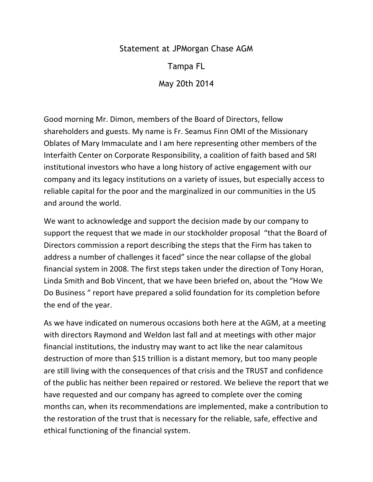Statement at JPMorgan Chase AGM

Tampa FL

May 20th 2014

Good morning Mr. Dimon, members of the Board of Directors, fellow shareholders and guests. My name is Fr. Seamus Finn OMI of the Missionary Oblates of Mary Immaculate and I am here representing other members of the Interfaith Center on Corporate Responsibility, a coalition of faith based and SRI institutional investors who have a long history of active engagement with our company and its legacy institutions on a variety of issues, but especially access to reliable capital for the poor and the marginalized in our communities in the US and around the world.

We want to acknowledge and support the decision made by our company to support the request that we made in our stockholder proposal "that the Board of Directors commission a report describing the steps that the Firm has taken to address a number of challenges it faced" since the near collapse of the global financial system in 2008. The first steps taken under the direction of Tony Horan, Linda Smith and Bob Vincent, that we have been briefed on, about the "How We Do Business " report have prepared a solid foundation for its completion before the end of the year.

As we have indicated on numerous occasions both here at the AGM, at a meeting with directors Raymond and Weldon last fall and at meetings with other major financial institutions, the industry may want to act like the near calamitous destruction of more than \$15 trillion is a distant memory, but too many people are still living with the consequences of that crisis and the TRUST and confidence of the public has neither been repaired or restored. We believe the report that we have requested and our company has agreed to complete over the coming months can, when its recommendations are implemented, make a contribution to the restoration of the trust that is necessary for the reliable, safe, effective and ethical functioning of the financial system.